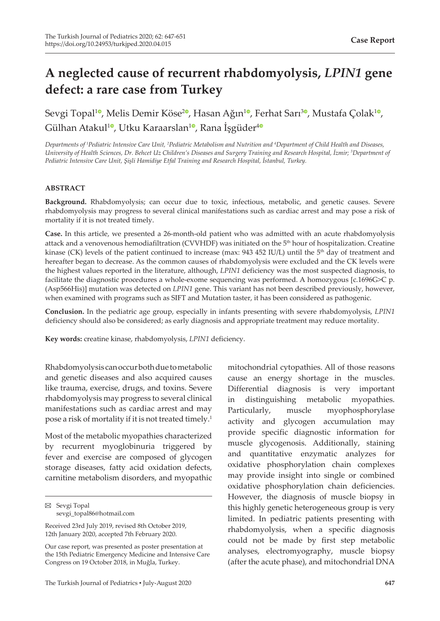# **A neglected cause of recurrent rhabdomyolysis,** *LPIN1* **gene defect: a rare case from Turkey**

Sevgi Topal<sup>10</sup>[,](https://orcid.org/0000-0001-8310-3766) Melis Demir Köse<sup>[2](https://orcid.org/0000-0003-2255-3725)0</sup>, Hasan Ağın<sup>[1](https://orcid.org/0000-0003-3306-8899)0</sup>, Ferhat Sarı<sup>30</sup>, Mustafa Çolak<sup>10</sup>, Gülhan Atakul<sup>[1](https://orcid.org/0000-0002-3267-6983)0</sup>, Utku Karaarslan<sup>10</sup>, Rana İşgüder<sup>[4](https://orcid.org/0000-0002-6070-8196)0</sup>

*Departments of <sup>1</sup> Pediatric Intensive Care Unit, <sup>2</sup> Pediatric Metabolism and Nutrition and 4 Department of Child Health and Diseases, University of Health Sciences, Dr. Behcet Uz Children's Diseases and Surgery Training and Research Hospital, İzmir; <sup>3</sup> Department of Pediatric Intensive Care Unit, Şişli Hamidiye Etfal Training and Research Hospital, İstanbul, Turkey.*

### **ABSTRACT**

**Background.** Rhabdomyolysis; can occur due to toxic, infectious, metabolic, and genetic causes. Severe rhabdomyolysis may progress to several clinical manifestations such as cardiac arrest and may pose a risk of mortality if it is not treated timely.

**Case.** In this article, we presented a 26-month-old patient who was admitted with an acute rhabdomyolysis attack and a venovenous hemodiafiltration (CVVHDF) was initiated on the 5<sup>th</sup> hour of hospitalization. Creatine kinase (CK) levels of the patient continued to increase (max:  $943\,452\,$  IU/L) until the  $5<sup>th</sup>$  day of treatment and hereafter began to decrease. As the common causes of rhabdomyolysis were excluded and the CK levels were the highest values reported in the literature, although, *LPIN1* deficiency was the most suspected diagnosis, to facilitate the diagnostic procedures a whole-exome sequencing was performed. A homozygous [c.1696G>C p. (Asp566His)] mutation was detected on *LPIN1* gene. This variant has not been described previously, however, when examined with programs such as SIFT and Mutation taster, it has been considered as pathogenic.

**Conclusion.** In the pediatric age group, especially in infants presenting with severe rhabdomyolysis, *LPIN1* deficiency should also be considered; as early diagnosis and appropriate treatment may reduce mortality.

**Key words:** creatine kinase, rhabdomyolysis, *LPIN1* deficiency.

Rhabdomyolysis can occur both due to metabolic and genetic diseases and also acquired causes like trauma, exercise, drugs, and toxins. Severe rhabdomyolysis may progress to several clinical manifestations such as cardiac arrest and may pose a risk of mortality if it is not treated timely.<sup>1</sup>

Most of the metabolic myopathies characterized by recurrent myoglobinuria triggered by fever and exercise are composed of glycogen storage diseases, fatty acid oxidation defects, carnitine metabolism disorders, and myopathic mitochondrial cytopathies. All of those reasons cause an energy shortage in the muscles. Differential diagnosis is very important in distinguishing metabolic myopathies. Particularly, muscle myophosphorylase activity and glycogen accumulation may provide specific diagnostic information for muscle glycogenosis. Additionally, staining and quantitative enzymatic analyzes for oxidative phosphorylation chain complexes may provide insight into single or combined oxidative phosphorylation chain deficiencies. However, the diagnosis of muscle biopsy in this highly genetic heterogeneous group is very limited. In pediatric patients presenting with rhabdomyolysis, when a specific diagnosis could not be made by first step metabolic analyses, electromyography, muscle biopsy (after the acute phase), and mitochondrial DNA

 $\boxtimes$  Sevgi Topal sevgi\_topal86@hotmail.com

Received 23rd July 2019, revised 8th October 2019, 12th January 2020, accepted 7th February 2020.

Our case report, was presented as poster presentation at the 15th Pediatric Emergency Medicine and Intensive Care Congress on 19 October 2018, in Muğla, Turkey.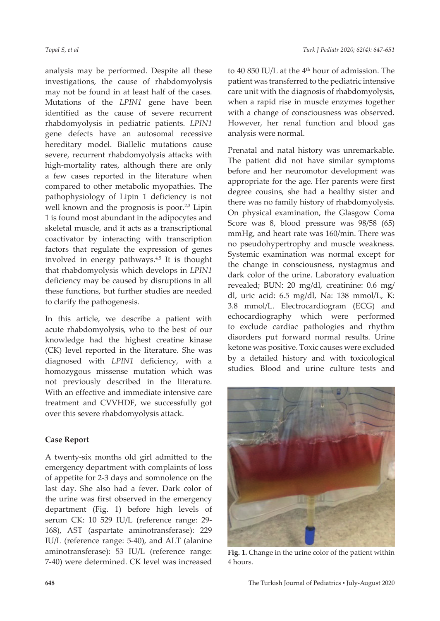analysis may be performed. Despite all these investigations, the cause of rhabdomyolysis may not be found in at least half of the cases. Mutations of the *LPIN1* gene have been identified as the cause of severe recurrent rhabdomyolysis in pediatric patients. *LPIN1* gene defects have an autosomal recessive hereditary model. Biallelic mutations cause severe, recurrent rhabdomyolysis attacks with high-mortality rates, although there are only a few cases reported in the literature when compared to other metabolic myopathies. The pathophysiology of Lipin 1 deficiency is not well known and the prognosis is poor.<sup>2,3</sup> Lipin 1 is found most abundant in the adipocytes and skeletal muscle, and it acts as a transcriptional coactivator by interacting with transcription factors that regulate the expression of genes involved in energy pathways.<sup>4,5</sup> It is thought that rhabdomyolysis which develops in *LPIN1* deficiency may be caused by disruptions in all these functions, but further studies are needed to clarify the pathogenesis.

In this article, we describe a patient with acute rhabdomyolysis, who to the best of our knowledge had the highest creatine kinase (CK) level reported in the literature. She was diagnosed with *LPIN1* deficiency, with a homozygous missense mutation which was not previously described in the literature. With an effective and immediate intensive care treatment and CVVHDF, we successfully got over this severe rhabdomyolysis attack.

## **Case Report**

A twenty-six months old girl admitted to the emergency department with complaints of loss of appetite for 2-3 days and somnolence on the last day. She also had a fever. Dark color of the urine was first observed in the emergency department (Fig. 1) before high levels of serum CK: 10 529 IU/L (reference range: 29- 168), AST (aspartate aminotransferase): 229 IU/L (reference range: 5-40), and ALT (alanine aminotransferase): 53 IU/L (reference range: 7-40) were determined. CK level was increased

to 40 850 IU/L at the  $4<sup>th</sup>$  hour of admission. The patient was transferred to the pediatric intensive care unit with the diagnosis of rhabdomyolysis, when a rapid rise in muscle enzymes together with a change of consciousness was observed. However, her renal function and blood gas analysis were normal.

Prenatal and natal history was unremarkable. The patient did not have similar symptoms before and her neuromotor development was appropriate for the age. Her parents were first degree cousins, she had a healthy sister and there was no family history of rhabdomyolysis. On physical examination, the Glasgow Coma Score was 8, blood pressure was 98/58 (65) mmHg, and heart rate was 160/min. There was no pseudohypertrophy and muscle weakness. Systemic examination was normal except for the change in consciousness, nystagmus and dark color of the urine. Laboratory evaluation revealed; BUN: 20 mg/dl, creatinine: 0.6 mg/ dl, uric acid: 6.5 mg/dl, Na: 138 mmol/L, K: 3.8 mmol/L. Electrocardiogram (ECG) and echocardiography which were performed to exclude cardiac pathologies and rhythm disorders put forward normal results. Urine ketone was positive. Toxic causes were excluded by a detailed history and with toxicological studies. Blood and urine culture tests and



Fig. 1. Change in the urine color of the patient within 4 hours.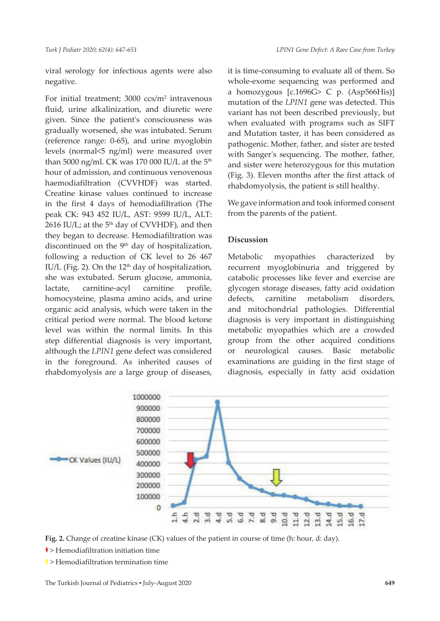viral serology for infectious agents were also negative.

For initial treatment; 3000 ccs/m<sup>2</sup> intravenous fluid, urine alkalinization, and diuretic were given. Since the patient's consciousness was gradually worsened, she was intubated. Serum (reference range: 0-65), and urine myoglobin levels (normal<5 ng/ml) were measured over than 5000 ng/ml. CK was 170 000 IU/L at the  $5<sup>th</sup>$ hour of admission, and continuous venovenous haemodiafiltration (CVVHDF) was started. Creatine kinase values continued to increase in the first 4 days of hemodiafiltration (The peak CK: 943 452 IU/L, AST: 9599 IU/L, ALT: 2616 IU/L; at the  $5<sup>th</sup>$  day of CVVHDF), and then they began to decrease. Hemodiafiltration was discontinued on the  $9<sup>th</sup>$  day of hospitalization, following a reduction of CK level to 26 467 IU/L (Fig. 2). On the  $12<sup>th</sup>$  day of hospitalization, she was extubated. Serum glucose, ammonia, lactate, carnitine-acyl carnitine profile, homocysteine, plasma amino acids, and urine organic acid analysis, which were taken in the critical period were normal. The blood ketone level was within the normal limits. In this step differential diagnosis is very important, although the *LPIN1* gene defect was considered in the foreground. As inherited causes of rhabdomyolysis are a large group of diseases,

it is time-consuming to evaluate all of them. So whole-exome sequencing was performed and a homozygous [c.1696G> C p. (Asp566His)] mutation of the *LPIN1* gene was detected. This variant has not been described previously, but when evaluated with programs such as SIFT and Mutation taster, it has been considered as pathogenic. Mother, father, and sister are tested with Sanger's sequencing. The mother, father, and sister were heterozygous for this mutation (Fig. 3). Eleven months after the first attack of rhabdomyolysis, the patient is still healthy.

We gave information and took informed consent from the parents of the patient.

## **Discussion**

Metabolic myopathies characterized by recurrent myoglobinuria and triggered by catabolic processes like fever and exercise are glycogen storage diseases, fatty acid oxidation defects, carnitine metabolism disorders, and mitochondrial pathologies. Differential diagnosis is very important in distinguishing metabolic myopathies which are a crowded group from the other acquired conditions or neurological causes. Basic metabolic examinations are guiding in the first stage of diagnosis, especially in fatty acid oxidation



**Fig. 2.** Change of creatine kinase (CK) values of the patient in course of time (h: hour, d: day).

 $\blacklozenge$  > Hemodiafiltration initiation time

 $\sqrt[4]{ } >$  Hemodiafiltration termination time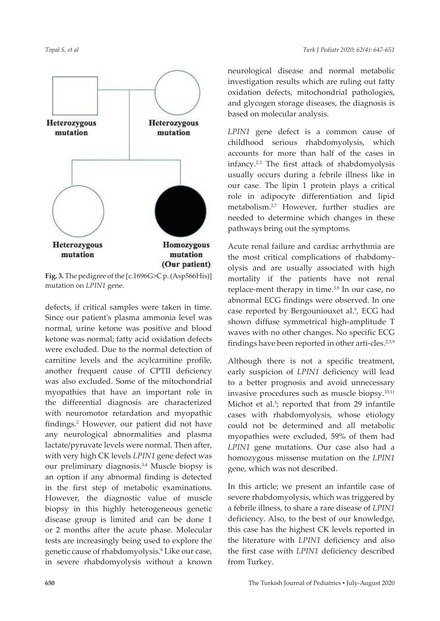

**Fig. 3.** The pedigree of the [c.1696G>C p. (Asp566His)] mutation on *LPIN1* gene.

defects, if critical samples were taken in time. Since our patient's plasma ammonia level was normal, urine ketone was positive and blood ketone was normal; fatty acid oxidation defects were excluded. Due to the normal detection of carnitine levels and the acylcarnitine profile, another frequent cause of CPTII deficiency was also excluded. Some of the mitochondrial myopathies that have an important role in the differential diagnosis are characterized with neuromotor retardation and myopathic findings.<sup>2</sup> However, our patient did not have any neurological abnormalities and plasma lactate/pyruvate levels were normal. Then after, with very high CK levels *LPIN1* gene defect was our preliminary diagnosis.3,4 Muscle biopsy is an option if any abnormal finding is detected in the first step of metabolic examinations. However, the diagnostic value of muscle biopsy in this highly heterogeneous genetic disease group is limited and can be done 1 or 2 months after the acute phase. Molecular tests are increasingly being used to explore the genetic cause of rhabdomyolysis.<sup>6</sup> Like our case, in severe rhabdomyolysis without a known

neurological disease and normal metabolic investigation results which are ruling out fatty oxidation defects, mitochondrial pathologies, and glycogen storage diseases, the diagnosis is based on molecular analysis.

*LPIN1* gene defect is a common cause of childhood serious rhabdomyolysis, which accounts for more than half of the cases in infancy.2,3 The first attack of rhabdomyolysis usually occurs during a febrile illness like in our case. The lipin 1 protein plays a critical role in adipocyte differentiation and lipid metabolism.<sup>2,7</sup> However, further studies are needed to determine which changes in these pathways bring out the symptoms.

Acute renal failure and cardiac arrhythmia are the most critical complications of rhabdomyolysis and are usually associated with high mortality if the patients have not renal replace-ment therapy in time.<sup>3,8</sup> In our case, no abnormal ECG findings were observed. In one case reported by Bergouniouxet al.<sup>9</sup>, ECG had shown diffuse symmetrical high-amplitude T waves with no other changes. No specific ECG findings have been reported in other arti-cles.<sup>2,3,9</sup>

Although there is not a specific treatment, early suspicion of *LPIN1* deficiency will lead to a better prognosis and avoid unnecessary invasive procedures such as muscle biopsy.10,11 Michot et al.<sup>3</sup>; reported that from 29 infantile cases with rhabdomyolysis, whose etiology could not be determined and all metabolic myopathies were excluded, 59% of them had *LPIN1* gene mutations. Our case also had a homozygous missense mutation on the *LPIN1* gene, which was not described.

In this article; we present an infantile case of severe rhabdomyolysis, which was triggered by a febrile illness, to share a rare disease of *LPIN1* deficiency. Also, to the best of our knowledge, this case has the highest CK levels reported in the literature with *LPIN1* deficiency and also the first case with *LPIN1* deficiency described from Turkey.